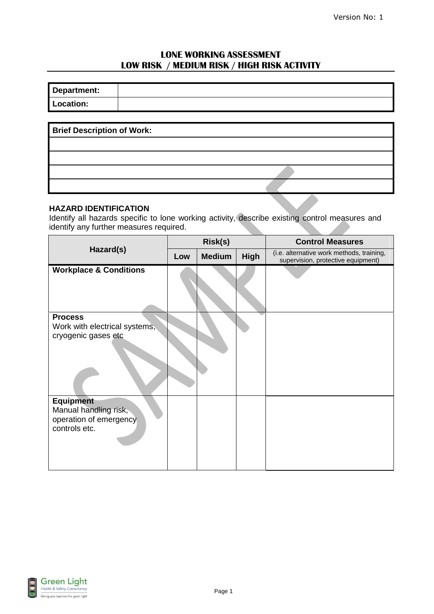# **LONE WORKING ASSESSMENT LOW RISK / MEDIUM RISK / HIGH RISK ACTIVITY**

| Department: |  |
|-------------|--|
| Location:   |  |

| <b>Brief Description of Work:</b> |  |
|-----------------------------------|--|
|                                   |  |
|                                   |  |
|                                   |  |
|                                   |  |

#### **HAZARD IDENTIFICATION**

Identify all hazards specific to lone working activity, describe existing control measures and identify any further measures required.

|                                                                                      | <b>Risk(s)</b> |               |      | <b>Control Measures</b>                                                         |  |
|--------------------------------------------------------------------------------------|----------------|---------------|------|---------------------------------------------------------------------------------|--|
| Hazard(s)                                                                            | Low            | <b>Medium</b> | High | (i.e. alternative work methods, training,<br>supervision, protective equipment) |  |
| <b>Workplace &amp; Conditions</b>                                                    |                |               |      |                                                                                 |  |
| <b>Process</b><br>Work with electrical systems,<br>cryogenic gases etc               |                |               |      |                                                                                 |  |
| <b>Equipment</b><br>Manual handling risk,<br>operation of emergency<br>controls etc. |                |               |      |                                                                                 |  |

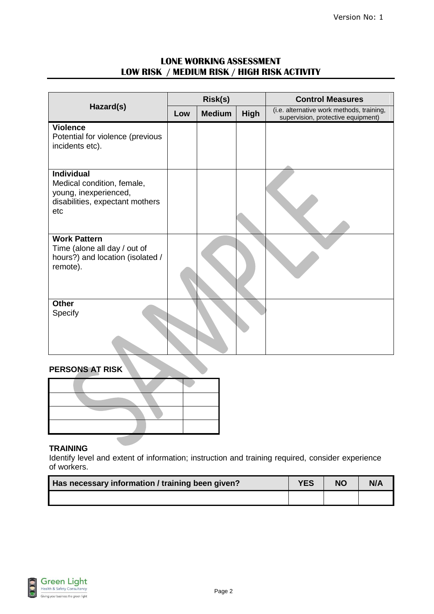## **LONE WORKING ASSESSMENT LOW RISK / MEDIUM RISK / HIGH RISK ACTIVITY**

|                                                                                                                    | Risk(s) |               |      | <b>Control Measures</b>                                                         |  |  |
|--------------------------------------------------------------------------------------------------------------------|---------|---------------|------|---------------------------------------------------------------------------------|--|--|
| Hazard(s)                                                                                                          | Low     | <b>Medium</b> | High | (i.e. alternative work methods, training,<br>supervision, protective equipment) |  |  |
| <b>Violence</b><br>Potential for violence (previous<br>incidents etc).                                             |         |               |      |                                                                                 |  |  |
| <b>Individual</b><br>Medical condition, female,<br>young, inexperienced,<br>disabilities, expectant mothers<br>etc |         |               |      |                                                                                 |  |  |
| <b>Work Pattern</b><br>Time (alone all day / out of<br>hours?) and location (isolated /<br>remote).                |         |               |      |                                                                                 |  |  |
| <b>Other</b><br>Specify                                                                                            |         |               |      |                                                                                 |  |  |

### **PERSONS AT RISK**



### **TRAINING**

Identify level and extent of information; instruction and training required, consider experience of workers.

| Has necessary information / training been given? | <b>YES</b> | <b>NO</b> | N/A |
|--------------------------------------------------|------------|-----------|-----|
|                                                  |            |           |     |